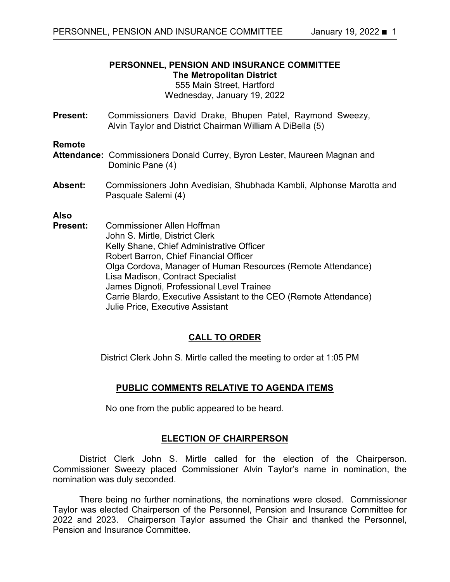# **PERSONNEL, PENSION AND INSURANCE COMMITTEE The Metropolitan District**

## 555 Main Street, Hartford Wednesday, January 19, 2022

**Present:** Commissioners David Drake, Bhupen Patel, Raymond Sweezy, Alvin Taylor and District Chairman William A DiBella (5)

#### **Remote**

- **Attendance:** Commissioners Donald Currey, Byron Lester, Maureen Magnan and Dominic Pane (4)
- **Absent:** Commissioners John Avedisian, Shubhada Kambli, Alphonse Marotta and Pasquale Salemi (4)

#### **Also**

**Present:** Commissioner Allen Hoffman John S. Mirtle, District Clerk Kelly Shane, Chief Administrative Officer Robert Barron, Chief Financial Officer Olga Cordova, Manager of Human Resources (Remote Attendance) Lisa Madison, Contract Specialist James Dignoti, Professional Level Trainee Carrie Blardo, Executive Assistant to the CEO (Remote Attendance) Julie Price, Executive Assistant

### **CALL TO ORDER**

District Clerk John S. Mirtle called the meeting to order at 1:05 PM

### **PUBLIC COMMENTS RELATIVE TO AGENDA ITEMS**

No one from the public appeared to be heard.

### **ELECTION OF CHAIRPERSON**

District Clerk John S. Mirtle called for the election of the Chairperson. Commissioner Sweezy placed Commissioner Alvin Taylor's name in nomination, the nomination was duly seconded.

There being no further nominations, the nominations were closed. Commissioner Taylor was elected Chairperson of the Personnel, Pension and Insurance Committee for 2022 and 2023. Chairperson Taylor assumed the Chair and thanked the Personnel, Pension and Insurance Committee.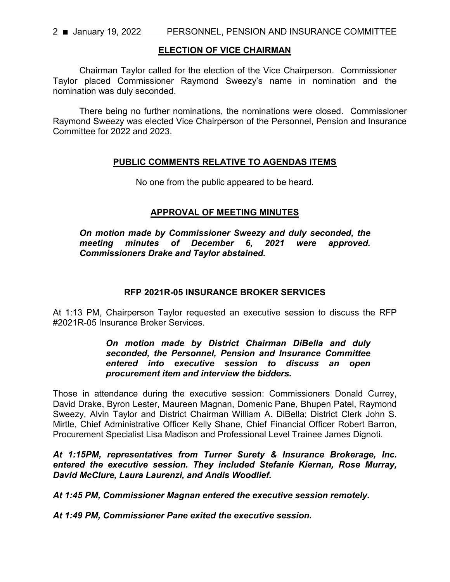#### **ELECTION OF VICE CHAIRMAN**

Chairman Taylor called for the election of the Vice Chairperson. Commissioner Taylor placed Commissioner Raymond Sweezy's name in nomination and the nomination was duly seconded.

There being no further nominations, the nominations were closed. Commissioner Raymond Sweezy was elected Vice Chairperson of the Personnel, Pension and Insurance Committee for 2022 and 2023.

### **PUBLIC COMMENTS RELATIVE TO AGENDAS ITEMS**

No one from the public appeared to be heard.

## **APPROVAL OF MEETING MINUTES**

*On motion made by Commissioner Sweezy and duly seconded, the meeting minutes of December 6, 2021 were approved. Commissioners Drake and Taylor abstained.*

### **RFP 2021R-05 INSURANCE BROKER SERVICES**

At 1:13 PM, Chairperson Taylor requested an executive session to discuss the RFP #2021R-05 Insurance Broker Services.

### *On motion made by District Chairman DiBella and duly seconded, the Personnel, Pension and Insurance Committee entered into executive session to discuss an open procurement item and interview the bidders.*

Those in attendance during the executive session: Commissioners Donald Currey, David Drake, Byron Lester, Maureen Magnan, Domenic Pane, Bhupen Patel, Raymond Sweezy, Alvin Taylor and District Chairman William A. DiBella; District Clerk John S. Mirtle, Chief Administrative Officer Kelly Shane, Chief Financial Officer Robert Barron, Procurement Specialist Lisa Madison and Professional Level Trainee James Dignoti.

*At 1:15PM, representatives from Turner Surety & Insurance Brokerage, Inc. entered the executive session. They included Stefanie Kiernan, Rose Murray, David McClure, Laura Laurenzi, and Andis Woodlief.*

*At 1:45 PM, Commissioner Magnan entered the executive session remotely.*

*At 1:49 PM, Commissioner Pane exited the executive session.*